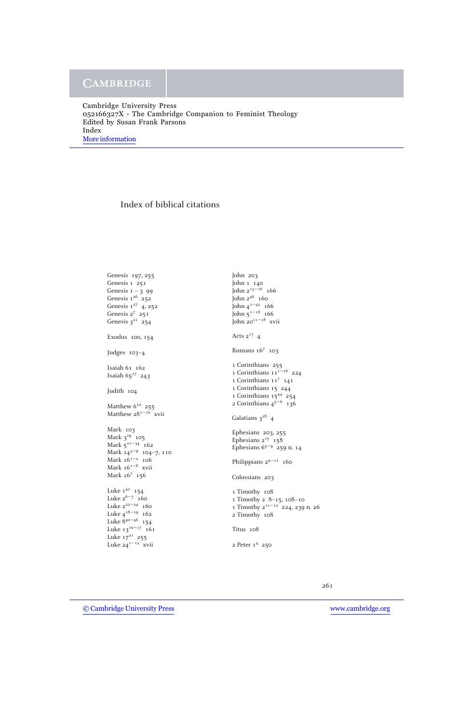## Index of biblical citations

Genesis 197, 255 Genesis 1 251 Genesis  $1 - 3$  99 Genesis  $1^{26}$  252 Genesis 1<sup>27</sup> 4, 252 Genesis 2<sup>7</sup> 251 Genesis  $3^{21}$  254 Exodus 100, 154 Judges 103–4 Isaiah 61 162 Isaiah  $65^{17}$  243 Judith 104 Matthew  $6^{10}$  255 Matthew 28<sup>1-10</sup> xvii Mark 103 Mark  $3^{19}$  105 Mark  $5^{21-34}$  162 Mark 143−<sup>9</sup> 104–7, 110 Mark 161−<sup>2</sup> 106 Mark 161−<sup>8</sup> xvii Mark 16<sup>7</sup> 156 Luke  $1^{42}$  154 Luke  $2^{6-7}$  160 Luke 2<sup>22−24</sup> 160 Luke 418−<sup>19</sup> 162 Luke 840−<sup>46</sup> 154 Luke  $13^{10-17}$  161 Luke  $17^{21}$  255 Luke 241−<sup>12</sup> xvii

John 203 John 1 140 John 213−<sup>16</sup> 166 John 2<sup>46</sup> 160 John 41−<sup>42</sup> 166 John  $5^{1-18}$  166  $\int$ ohn 20<sup>11–18</sup> xvii Acts  $2^{17}$  4 Romans 16<sup>7</sup> 103 1 Corinthians 255 1 Corinthians  $11^{1-16}$  224 1 Corinthians 11<sup>7</sup> 141 1 Corinthians 15 244 1 Corinthians 15<sup>44</sup> 254 2 Corinthians  $4^{5-6}$  136 Galatians  $3^{28}$  4 Ephesians 203, 255 Ephesians  $2^{15}$  158 Ephesians 65−<sup>9</sup> 259 n. 14 Philippians  $2^{9-11}$  160 Colossians 203 1 Timothy 108 1 Timothy 2 8–15, 108–10 1 Timothy 211−<sup>12</sup> 224, 239 n. 26 2 Timothy 108 Titus 108 2 Peter 1<sup>4</sup> 250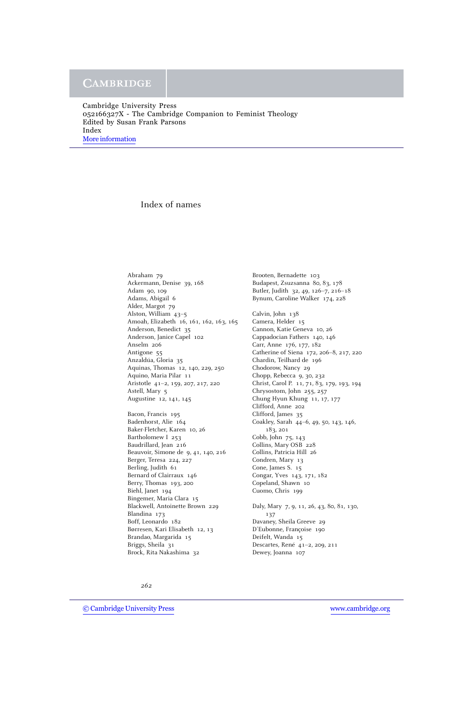## Index of names

Abraham 79 Ackermann, Denise 39, 168 Adam 90, 109 Adams, Abigail 6 Alder, Margot 79 Alston, William 43–5 Amoah, Elizabeth 16, 161, 162, 163, 165 Anderson, Benedict 35 Anderson, Janice Capel 102 Anselm 206 Antigone 55 Anzaldúa, Gloria 35 Aquinas, Thomas 12, 140, 229, 250 Aquino, Maria Pilar 11 Aristotle 41–2, 159, 207, 217, 220 Astell, Mary 5 Augustine 12, 141, 145 Bacon, Francis 195 Badenhorst, Alie 164 Baker-Fletcher, Karen 10, 26 Bartholomew I 253 Baudrillard, Jean 216 Beauvoir, Simone de 9, 41, 140, 216 Berger, Teresa 224, 227 Berling, Judith 61 Bernard of Clairraux 146

Berry, Thomas 193, 200 Biehl, Janet 194 Bingemer, Maria Clara 15 Blackwell, Antoinette Brown 229 Blandina 173 Boff, Leonardo 182 Børresen, Kari Elisabeth 12, 13 Brandao, Margarida 15 Briggs, Sheila 31 Brock, Rita Nakashima 32

Brooten, Bernadette 103 Budapest, Zsuzsanna 80, 83, 178 Butler, Judith 32, 49, 126–7, 216–18 Bynum, Caroline Walker 174, 228 Calvin, John 138 Camera, Helder 15 Cannon, Katie Geneva 10, 26 Cappadocian Fathers 140, 146 Carr, Anne 176, 177, 182 Catherine of Siena 172, 206–8, 217, 220 Chardin, Teilhard de 196 Chodorow, Nancy 29 Chopp, Rebecca 9, 30, 232 Christ, Carol P. 11, 71, 83, 179, 193, 194 Chrysostom, John 255, 257 Chung Hyun Khung 11, 17, 177 Clifford, Anne 202 Clifford, James 35 Coakley, Sarah 44–6, 49, 50, 143, 146, 183, 201 Cobb, John 75, 143 Collins, Mary OSB 228 Collins, Patricia Hill 26 Condren, Mary 13 Cone, James S. 15 Congar, Yves 143, 171, 182 Copeland, Shawn 10 Cuomo, Chris 199 Daly, Mary 7, 9, 11, 26, 43, 80, 81, 130, 137 Davaney, Sheila Greeve 29 D'Eubonne, Françoise 190 Deifelt, Wanda 15 Descartes, René 41-2, 209, 211 Dewey, Joanna 107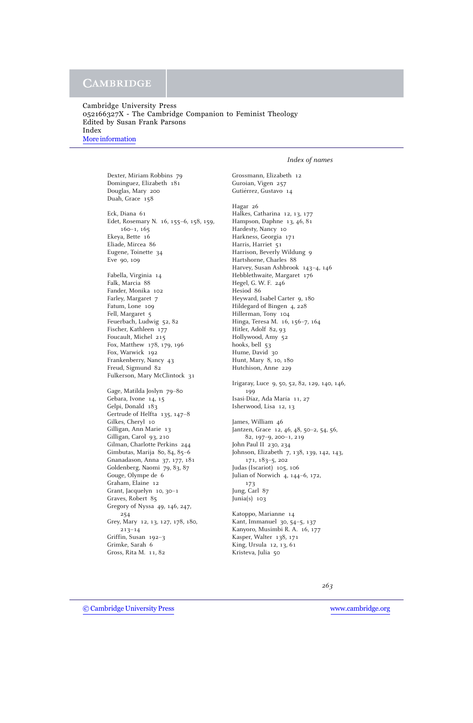## **CAMBRIDGE**

### *Index of names*

Dexter, Miriam Robbins 79 Dominguez, Elizabeth 181 Douglas, Mary 200 Duah, Grace 158 Eck, Diana 61 Edet, Rosemary N. 16, 155–6, 158, 159, 160–1, 165 Ekeya, Bette 16 Eliade, Mircea 86 Eugene, Toinette 34 Eve 90, 109 Fabella, Virginia 14 Falk, Marcia 88 Fander, Monika 102 Farley, Margaret 7 Fatum, Lone 109 Fell, Margaret 5 Feuerbach, Ludwig 52, 82 Fischer, Kathleen 177 Foucault, Michel 215 Fox, Matthew 178, 179, 196 Fox, Warwick 192 Frankenberry, Nancy 43 Freud, Sigmund 82 Fulkerson, Mary McClintock 31 Gage, Matilda Joslyn 79–80 Gebara, Ivone 14, 15 Gelpi, Donald 183 Gertrude of Helfta 135, 147–8 Gilkes, Cheryl 10 Gilligan, Ann Marie 13 Gilligan, Carol 93, 210 Gilman, Charlotte Perkins 244 Gimbutas, Marija 80, 84, 85–6 Gnanadason, Anna 37, 177, 181 Goldenberg, Naomi 79, 83, 87 Gouge, Olympe de 6 Graham, Elaine 12 Grant, Jacquelyn 10, 30–1 Graves, Robert 85 Gregory of Nyssa 49, 146, 247, 254 Grey, Mary 12, 13, 127, 178, 180, 213–14 Griffin, Susan 192–3 Grimke, Sarah 6 Gross, Rita M. 11, 82

Grossmann, Elizabeth 12 Guroian, Vigen 257 Gutiérrez, Gustavo 14

Hagar 26 Halkes, Catharina 12, 13, 177 Hampson, Daphne 13, 46, 81 Hardesty, Nancy 10 Harkness, Georgia 171 Harris, Harriet 51 Harrison, Beverly Wildung 9 Hartshorne, Charles 88 Harvey, Susan Ashbrook 143–4, 146 Hebblethwaite, Margaret 176 Hegel, G. W. F. 246 Hesiod 86 Heyward, Isabel Carter 9, 180 Hildegard of Bingen 4, 228 Hillerman, Tony 104 Hinga, Teresa M. 16, 156–7, 164 Hitler, Adolf 82, 93 Hollywood, Amy 52 hooks, bell 53 Hume, David 30 Hunt, Mary 8, 10, 180 Hutchison, Anne 229 Irigaray, Luce 9, 50, 52, 82, 129, 140, 146, 199 Isasi-Díaz, Ada María 11, 27 Isherwood, Lisa 12, 13 James, William 46 Jantzen, Grace 12, 46, 48, 50–2, 54, 56, 82, 197–9, 200–1, 219 John Paul II 230, 234 Johnson, Elizabeth 7, 138, 139, 142, 143, 171, 183–5, 202 Judas (Iscariot) 105, 106 Julian of Norwich 4, 144–6, 172, 173 Jung, Carl 87

Junia(s) 103 Katoppo, Marianne 14

Kant, Immanuel 30, 54–5, 137 Kanyoro, Musimbi R. A. 16, 177 Kasper, Walter 138, 171 King, Ursula 12, 13, 61 Kristeva, Julia 50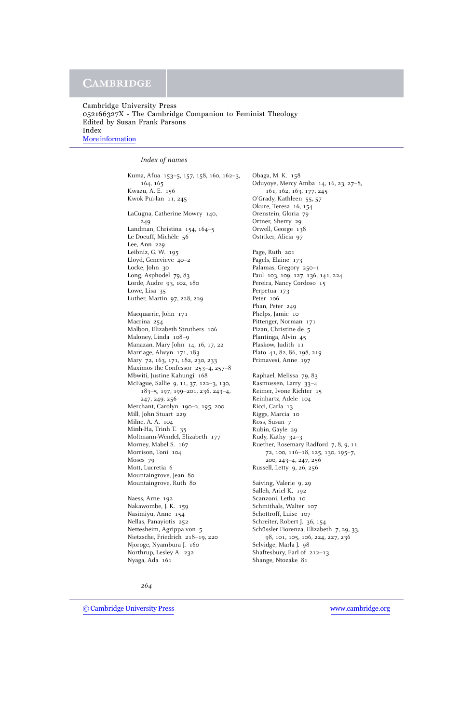#### *Index of names*

Kuma, Afua 153–5, 157, 158, 160, 162–3, 164, 165 Kwazu, A. E. 156 Kwok Pui-lan 11, 245 LaCugna, Catherine Mowry 140, 249 Landman, Christina 154, 164–5 Le Doeuff, Michèle 56 Lee, Ann 229 Leibniz, G. W. 195 Lloyd, Genevieve 40–2 Locke, John 30 Long, Asphodel 79, 83 Lorde, Audre 93, 102, 180 Lowe, Lisa 35 Luther, Martin 97, 228, 229 Macquarrie, John 171 Macrina 254 Malbon, Elizabeth Struthers 106 Maloney, Linda 108–9 Manazan, Mary John 14, 16, 17, 22 Marriage, Alwyn 171, 183 Mary 72, 163, 171, 182, 230, 233 Maximos the Confessor 253–4, 257–8 Mbwiti, Justine Kahungi 168 McFague, Sallie 9, 11, 37, 122–3, 130, 183–5, 197, 199–201, 236, 243–4, 247, 249, 256 Merchant, Carolyn 190–2, 195, 200 Mill, John Stuart 229 Milne, A. A. 104 Minh-Ha, Trinh T. 35 Moltmann-Wendel, Elizabeth 177 Morney, Mabel S. 167 Morrison, Toni 104 Moses 79 Mott, Lucretia 6 Mountaingrove, Jean 80 Mountaingrove, Ruth 80 Naess, Arne 192 Nakawombe, J. K. 159

Nasimiyu, Anne 154 Nellas, Panayiotis 252 Nettesheim, Agrippa von 5 Nietzsche, Friedrich 218–19, 220 Njoroge, Nyambura J. 160 Northrup, Lesley A. 232 Nyaga, Ada 161

Obaga, M. K. 158 Oduyoye, Mercy Amba 14, 16, 23, 27–8, 161, 162, 163, 177, 245 O'Grady, Kathleen 55, 57 Okure, Teresa 16, 154 Orenstein, Gloria 79 Ortner, Sherry 29 Orwell, George 138 Ostriker, Alicia 97 Page, Ruth 201 Pagels, Elaine 173 Palamas, Gregory 250–1 Paul 103, 109, 127, 136, 141, 224 Pereira, Nancy Cordoso 15 Perpetua 173 Peter 106 Phan, Peter 249 Phelps, Jamie 10 Pittenger, Norman 171 Pizan, Christine de 5 Plantinga, Alvin 45 Plaskow, Judith 11 Plato 41, 82, 86, 198, 219 Primavesi, Anne 197 Raphael, Melissa 79, 83 Rasmussen, Larry 33–4 Reimer, Ivone Richter 15 Reinhartz, Adele 104 Ricci, Carla 13 Riggs, Marcia 10 Ross, Susan 7 Rubin, Gayle 29 Rudy, Kathy 32–3 Ruether, Rosemary Radford 7, 8, 9, 11, 72, 100, 116–18, 125, 130, 195–7, 200, 243–4, 247, 256 Russell, Letty 9, 26, 256 Saiving, Valerie 9, 29 Salleh, Ariel K. 192 Scanzoni, Letha 10 Schmithals, Walter 107 Schottroff, Luise 107 Schreiter, Robert J. 36, 154 Schüssler Fiorenza, Elizabeth 7, 29, 33, 98, 101, 105, 106, 224, 227, 236 Selvidge, Marla J. 98 Shaftesbury, Earl of 212–13 Shange, Ntozake 81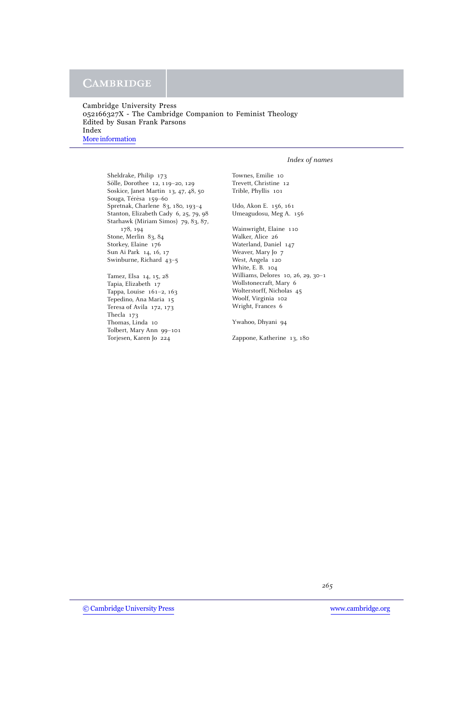# **CAMBRIDGE**

Cambridge University Press 052166327X - The Cambridge Companion to Feminist Theology Edited by Susan Frank Parsons Index [More information](http://www.cambridge.org/052166327X)

### *Index of names*

Sheldrake, Philip 173 Sölle, Dorothee 12, 119-20, 129 Soskice, Janet Martin 13, 47, 48, 50 Souga, Térèsa 159-60 Spretnak, Charlene 83, 180, 193–4 Stanton, Elizabeth Cady 6, 25, 79, 98 Starhawk (Miriam Simos) 79, 83, 87, 178, 194 Stone, Merlin 83, 84 Storkey, Elaine 176 Sun Ai Park 14, 16, 17 Swinburne, Richard 43–5

Tamez, Elsa 14, 15, 28 Tapia, Elizabeth 17 Tappa, Louise 161–2, 163 Tepedino, Ana Maria 15 Teresa of Avila 172, 173 Thecla 173 Thomas, Linda 10 Tolbert, Mary Ann 99–101 Torjesen, Karen Jo 224

Townes, Emilie 10 Trevett, Christine 12 Trible, Phyllis 101

Udo, Akon E. 156, 161 Umeagudosu, Meg A. 156

Wainwright, Elaine 110 Walker, Alice 26 Waterland, Daniel 147 Weaver, Mary Jo 7 West, Angela 120 White, E. B. 104 Williams, Delores 10, 26, 29, 30–1 Wollstonecraft, Mary 6 Wolterstorff, Nicholas 45 Woolf, Virginia 102 Wright, Frances 6

Ywahoo, Dhyani 94

Zappone, Katherine 13, 180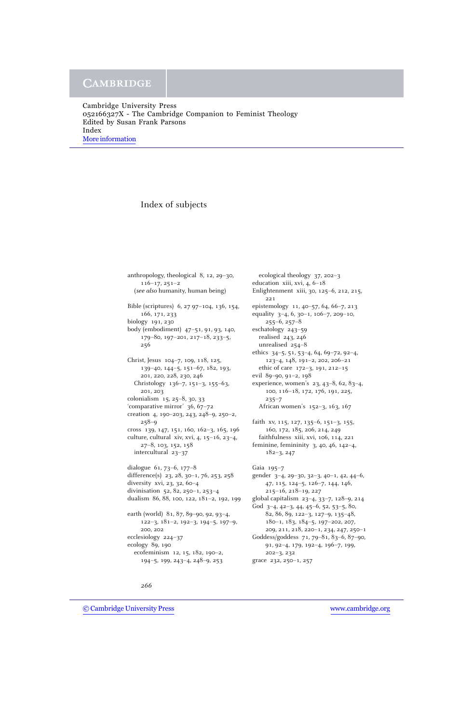## Index of subjects

anthropology, theological 8, 12, 29–30, 116–17, 251–2 (*see also* humanity, human being) Bible (scriptures) 6, 27 97–104, 136, 154, 166, 171, 233 biology 191, 230 body (embodiment) 47–51, 91, 93, 140, 179–80, 197–201, 217–18, 233–5, 256 Christ, Jesus 104–7, 109, 118, 125, 139–40, 144–5, 151–67, 182, 193, 201, 220, 228, 230, 246 Christology 136–7, 151–3, 155–63, 201, 203 colonialism 15, 25–8, 30, 33 'comparative mirror' 36, 67–72 creation 4, 190–203, 243, 248–9, 250–2, 258–9 cross 139, 147, 151, 160, 162–3, 165, 196 culture, cultural xiv, xvi, 4, 15–16, 23–4, 27–8, 103, 152, 158 intercultural 23–37 dialogue 61, 73–6, 177–8 difference(s) 23, 28, 30–1, 76, 253, 258 diversity xvi, 23, 32, 60–4 divinisation 52, 82, 250–1, 253–4 dualism 86, 88, 100, 122, 181–2, 192, 199 earth (world) 81, 87, 89–90, 92, 93–4, 122–3, 181–2, 192–3, 194–5, 197–9, 200, 202 ecclesiology 224–37 ecology 89, 190 ecofeminism 12, 15, 182, 190–2, 194–5, 199, 243–4, 248–9, 253

ecological theology 37, 202–3 education xiii, xvi, 4, 6–18 Enlightenment xiii, 30, 125–6, 212, 215, 221 epistemology 11, 40–57, 64, 66–7, 213 equality 3–4, 6, 30–1, 106–7, 209–10,  $255-6, 257-8$ eschatology 243–59 realised 243, 246 unrealised 254–8 ethics 34–5, 51, 53–4, 64, 69–72, 92–4, 123–4, 148, 191–2, 202, 206–21 ethic of care 172–3, 191, 212–15 evil 89–90, 91–2, 198 experience, women's 23, 43–8, 62, 83–4, 100, 116–18, 172, 176, 191, 225, 235–7 African women's 152–3, 163, 167 faith xv, 115, 127, 135–6, 151–3, 155, 160, 172, 185, 206, 214, 249 faithfulness xiii, xvi, 106, 114, 221 feminine, femininity 3, 40, 46, 142–4, 182–3, 247 Gaia 195–7 gender 3–4, 29–30, 32–3, 40–1, 42, 44–6, 47, 115, 124–5, 126–7, 144, 146, 215–16, 218–19, 227 global capitalism 23–4, 33–7, 128–9, 214 God 3–4, 42–3, 44, 45–6, 52, 53–5, 80, 82, 86, 89, 122–3, 127–9, 135–48, 180–1, 183, 184–5, 197–202, 207, 209, 211, 218, 220–1, 234, 247, 250–1 Goddess/goddess 71, 79–81, 83–6, 87–90, 91, 92–4, 179, 192–4, 196–7, 199, 202–3, 232 grace 232, 250–1, 257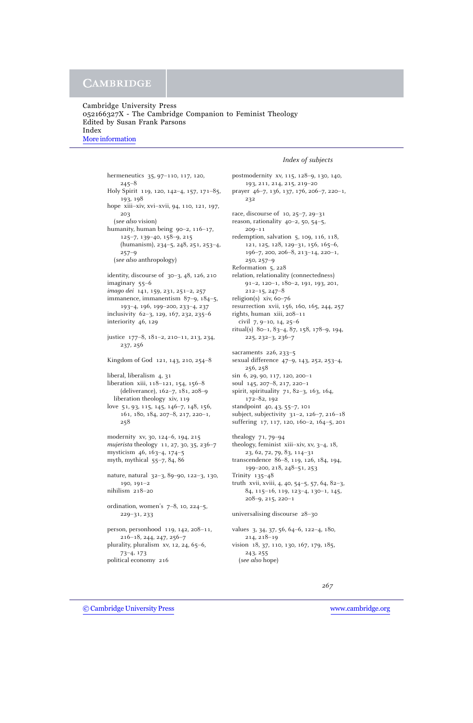#### *Index of subjects*

hermeneutics 35, 97–110, 117, 120, 245–8 Holy Spirit 119, 120, 142–4, 157, 171–85, 193, 198 hope xiii–xiv, xvi–xvii, 94, 110, 121, 197, 203 (*see also* vision) humanity, human being 90–2, 116–17, 125–7, 139–40, 158–9, 215 (humanism), 234–5, 248, 251, 253–4, 257–9 (*see also* anthropology) identity, discourse of 30–3, 48, 126, 210 imaginary 55–6 *imago dei* 141, 159, 231, 251–2, 257 immanence, immanentism 87–9, 184–5, 193–4, 196, 199–200, 233–4, 237 inclusivity 62–3, 129, 167, 232, 235–6 interiority 46, 129 justice 177–8, 181–2, 210–11, 213, 234, 237, 256 Kingdom of God 121, 143, 210, 254–8 liberal, liberalism 4, 31 liberation xiii, 118–121, 154, 156–8 (deliverance), 162–7, 181, 208–9 liberation theology xiv, 119 love 51, 93, 115, 145, 146–7, 148, 156, 161, 180, 184, 207–8, 217, 220–1, 258 modernity xv, 30, 124–6, 194, 215 *mujerista* theology 11, 27, 30, 35, 236–7 mysticism 46, 163–4, 174–5 myth, mythical 55–7, 84, 86 nature, natural 32–3, 89–90, 122–3, 130, 190, 191–2 nihilism 218–20 ordination, women's 7–8, 10, 224–5, 229–31, 233 person, personhood 119, 142, 208–11, 216–18, 244, 247, 256–7 plurality, pluralism xv, 12, 24, 65–6, 73–4, 173 political economy 216

postmodernity xv, 115, 128–9, 130, 140, 193, 211, 214, 215, 219–20 prayer 46–7, 136, 137, 176, 206–7, 220–1, 232 race, discourse of 10, 25–7, 29–31 reason, rationality 40–2, 50, 54–5, 209–11 redemption, salvation 5, 109, 116, 118, 121, 125, 128, 129–31, 156, 165–6, 196–7, 200, 206–8, 213–14, 220–1, 250, 257–9 Reformation 5, 228 relation, relationality (connectedness) 91–2, 120–1, 180–2, 191, 193, 201, 212–15, 247–8 religion(s) xiv, 60–76 resurrection xvii, 156, 160, 165, 244, 257 rights, human xiii, 208–11 civil 7, 9–10, 14, 25–6 ritual(s) 80–1, 83–4, 87, 158, 178–9, 194, 225, 232–3, 236–7 sacraments 226, 233–5 sexual difference 47–9, 143, 252, 253–4, 256, 258 sin 6, 29, 90, 117, 120, 200–1 soul 145, 207–8, 217, 220–1 spirit, spirituality 71, 82–3, 163, 164, 172–82, 192 standpoint 40, 43, 55–7, 101 subject, subjectivity 31–2, 126–7, 216–18 suffering 17, 117, 120, 160–2, 164–5, 201 thealogy 71, 79–94 theology, feminist xiii–xiv, xv, 3–4, 18, 23, 62, 72, 79, 83, 114–31 transcendence 86–8, 119, 126, 184, 194, 199–200, 218, 248–51, 253 Trinity 135–48 truth xvii, xviii, 4, 40, 54–5, 57, 64, 82–3, 84, 115–16, 119, 123–4, 130–1, 145, 208–9, 215, 220–1 universalising discourse 28–30 values 3, 34, 37, 56, 64–6, 122–4, 180, 214, 218–19 vision 18, 37, 110, 130, 167, 179, 185, 243, 255 (*see also* hope)